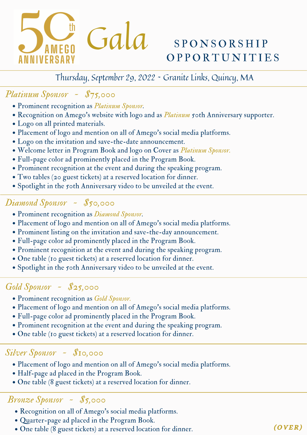

# **OPPORTUNITIES**

# Thursday, September 29, 2022 ~ Granite Links, Quincy, MA

# *Platinum Sponsor ~ \$75,000*

- Prominent recognition as *Platinum Sponsor.*
- Recognition on Amego's website with logo and as *Platinum* 50th Anniversary supporter.
- Logo on all printed materials.
- Placement of logo and mention on all of Amego's social media platforms.
- Logo on the invitation and save-the-date announcement.
- Welcome letter in Program Book and logo on Cover as *Platinum Sponsor.*
- Full-page color ad prominently placed in the Program Book.
- Prominent recognition at the event and during the speaking program.
- Two tables (20 guest tickets) at a reserved location for dinner.
- Spotlight in the 50th Anniversary video to be unveiled at the event.

# *Diamond Sponsor ~ \$50,000*

- Prominent recognition as *Diamond Sponsor.*
- Placement of logo and mention on all of Amego's social media platforms.
- Prominent listing on the invitation and save-the-day announcement.
- Full-page color ad prominently placed in the Program Book.
- Prominent recognition at the event and during the speaking program.
- One table (10 guest tickets) at a reserved location for dinner.
- Spotlight in the 50th Anniversary video to be unveiled at the event.

# *Gold Sponsor ~ \$25,000*

- Prominent recognition as *Gold Sponsor.*
- Placement of logo and mention on all of Amego's social media platforms.
- Full-page color ad prominently placed in the Program Book.
- Prominent recognition at the event and during the speaking program.
- One table (10 guest tickets) at a reserved location for dinner.

- Placement of logo and mention on all of Amego's social media platforms. Onglishing (Silver Sponsor  $\sim$  \$10,000<br>
• Placement of logo and mention on all of Amego's social media pl<br>
• Half-page ad placed in the Program Book.<br>
• One table (8 guest tickets) at a reserved location for dinner.
	- Half-page ad placed in the Program Book.
	-

- Recognition on all of Amego's social media platforms.
- Quarter-page ad placed in the Program Book.
- One table (8 guest tickets) at a reserved location for dinner.<br>
 Quarter-page ad placed in the Program Book.<br>
 One table (8 guest tickets) at a reserved location for dinner.